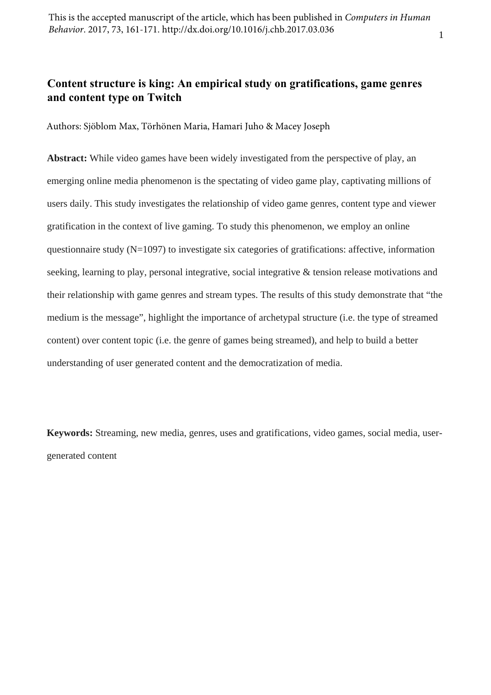#### 1

# **Content structure is king: An empirical study on gratifications, game genres and content type on Twitch**

Authors: Sjöblom Max, Törhönen Maria, Hamari Juho & Macey Joseph

**Abstract:** While video games have been widely investigated from the perspective of play, an emerging online media phenomenon is the spectating of video game play, captivating millions of users daily. This study investigates the relationship of video game genres, content type and viewer gratification in the context of live gaming. To study this phenomenon, we employ an online questionnaire study  $(N=1097)$  to investigate six categories of gratifications: affective, information seeking, learning to play, personal integrative, social integrative & tension release motivations and their relationship with game genres and stream types. The results of this study demonstrate that "the medium is the message", highlight the importance of archetypal structure (i.e. the type of streamed content) over content topic (i.e. the genre of games being streamed), and help to build a better understanding of user generated content and the democratization of media.

**Keywords:** Streaming, new media, genres, uses and gratifications, video games, social media, usergenerated content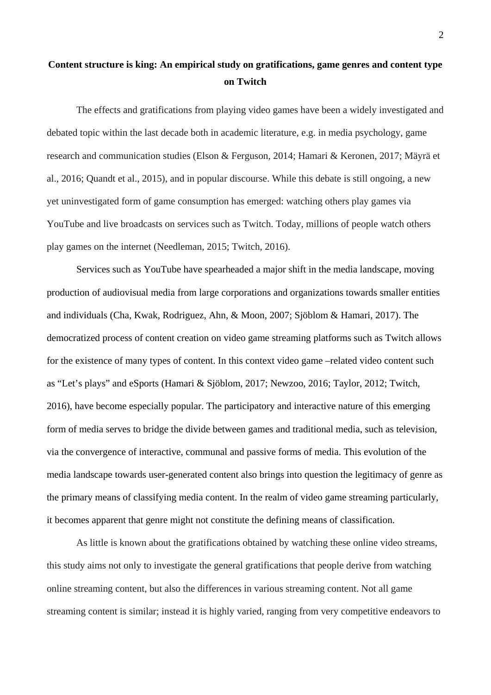# **Content structure is king: An empirical study on gratifications, game genres and content type on Twitch**

The effects and gratifications from playing video games have been a widely investigated and debated topic within the last decade both in academic literature, e.g. in media psychology, game research and communication studies (Elson & Ferguson, 2014; Hamari & Keronen, 2017; Mäyrä et al., 2016; Quandt et al., 2015), and in popular discourse. While this debate is still ongoing, a new yet uninvestigated form of game consumption has emerged: watching others play games via YouTube and live broadcasts on services such as Twitch. Today, millions of people watch others play games on the internet (Needleman, 2015; Twitch, 2016).

Services such as YouTube have spearheaded a major shift in the media landscape, moving production of audiovisual media from large corporations and organizations towards smaller entities and individuals (Cha, Kwak, Rodriguez, Ahn, & Moon, 2007; Sjöblom & Hamari, 2017). The democratized process of content creation on video game streaming platforms such as Twitch allows for the existence of many types of content. In this context video game –related video content such as "Let's plays" and eSports (Hamari & Sjöblom, 2017; Newzoo, 2016; Taylor, 2012; Twitch, 2016), have become especially popular. The participatory and interactive nature of this emerging form of media serves to bridge the divide between games and traditional media, such as television, via the convergence of interactive, communal and passive forms of media. This evolution of the media landscape towards user-generated content also brings into question the legitimacy of genre as the primary means of classifying media content. In the realm of video game streaming particularly, it becomes apparent that genre might not constitute the defining means of classification.

As little is known about the gratifications obtained by watching these online video streams, this study aims not only to investigate the general gratifications that people derive from watching online streaming content, but also the differences in various streaming content. Not all game streaming content is similar; instead it is highly varied, ranging from very competitive endeavors to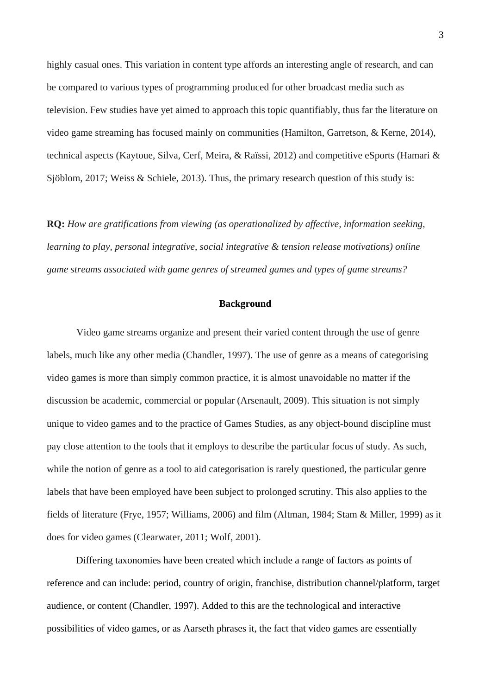highly casual ones. This variation in content type affords an interesting angle of research, and can be compared to various types of programming produced for other broadcast media such as television. Few studies have yet aimed to approach this topic quantifiably, thus far the literature on video game streaming has focused mainly on communities (Hamilton, Garretson, & Kerne, 2014), technical aspects (Kaytoue, Silva, Cerf, Meira, & Raïssi, 2012) and competitive eSports (Hamari & Sjöblom, 2017; Weiss & Schiele, 2013). Thus, the primary research question of this study is:

**RQ:** *How are gratifications from viewing (as operationalized by affective, information seeking, learning to play, personal integrative, social integrative & tension release motivations) online game streams associated with game genres of streamed games and types of game streams?*

#### **Background**

Video game streams organize and present their varied content through the use of genre labels, much like any other media (Chandler, 1997). The use of genre as a means of categorising video games is more than simply common practice, it is almost unavoidable no matter if the discussion be academic, commercial or popular (Arsenault, 2009). This situation is not simply unique to video games and to the practice of Games Studies, as any object-bound discipline must pay close attention to the tools that it employs to describe the particular focus of study. As such, while the notion of genre as a tool to aid categorisation is rarely questioned, the particular genre labels that have been employed have been subject to prolonged scrutiny. This also applies to the fields of literature (Frye, 1957; Williams, 2006) and film (Altman, 1984; Stam & Miller, 1999) as it does for video games (Clearwater, 2011; Wolf, 2001).

Differing taxonomies have been created which include a range of factors as points of reference and can include: period, country of origin, franchise, distribution channel/platform, target audience, or content (Chandler, 1997). Added to this are the technological and interactive possibilities of video games, or as Aarseth phrases it, the fact that video games are essentially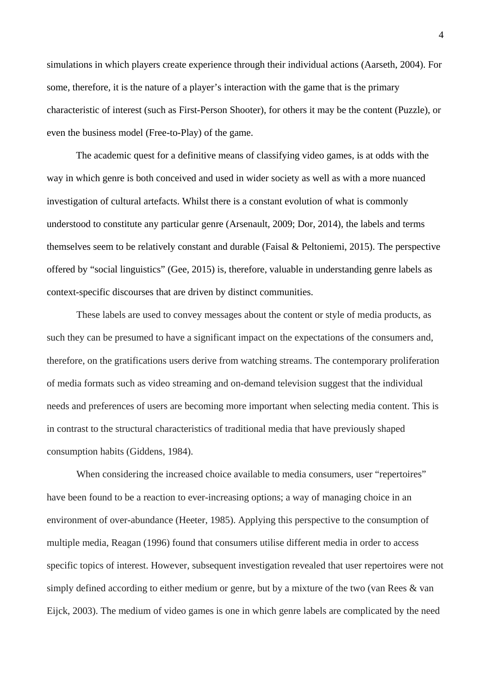simulations in which players create experience through their individual actions (Aarseth, 2004). For some, therefore, it is the nature of a player's interaction with the game that is the primary characteristic of interest (such as First-Person Shooter), for others it may be the content (Puzzle), or even the business model (Free-to-Play) of the game.

The academic quest for a definitive means of classifying video games, is at odds with the way in which genre is both conceived and used in wider society as well as with a more nuanced investigation of cultural artefacts. Whilst there is a constant evolution of what is commonly understood to constitute any particular genre (Arsenault, 2009; Dor, 2014), the labels and terms themselves seem to be relatively constant and durable (Faisal & Peltoniemi, 2015). The perspective offered by "social linguistics" (Gee, 2015) is, therefore, valuable in understanding genre labels as context-specific discourses that are driven by distinct communities.

These labels are used to convey messages about the content or style of media products, as such they can be presumed to have a significant impact on the expectations of the consumers and, therefore, on the gratifications users derive from watching streams. The contemporary proliferation of media formats such as video streaming and on-demand television suggest that the individual needs and preferences of users are becoming more important when selecting media content. This is in contrast to the structural characteristics of traditional media that have previously shaped consumption habits (Giddens, 1984).

When considering the increased choice available to media consumers, user "repertoires" have been found to be a reaction to ever-increasing options; a way of managing choice in an environment of over-abundance (Heeter, 1985). Applying this perspective to the consumption of multiple media, Reagan (1996) found that consumers utilise different media in order to access specific topics of interest. However, subsequent investigation revealed that user repertoires were not simply defined according to either medium or genre, but by a mixture of the two (van Rees & van Eijck, 2003). The medium of video games is one in which genre labels are complicated by the need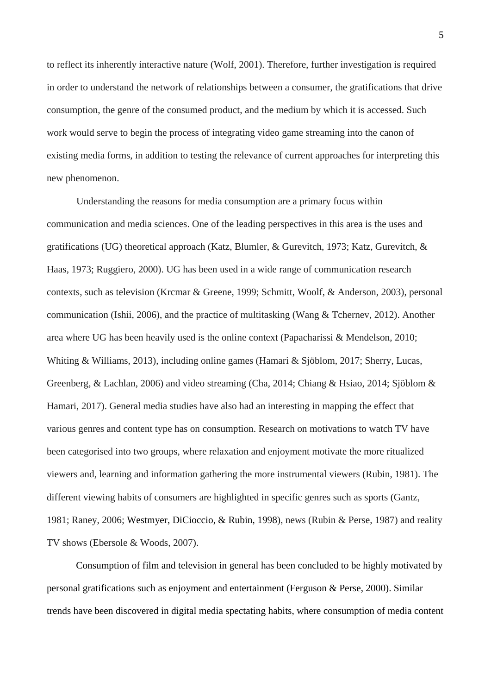to reflect its inherently interactive nature (Wolf, 2001). Therefore, further investigation is required in order to understand the network of relationships between a consumer, the gratifications that drive consumption, the genre of the consumed product, and the medium by which it is accessed. Such work would serve to begin the process of integrating video game streaming into the canon of existing media forms, in addition to testing the relevance of current approaches for interpreting this new phenomenon.

Understanding the reasons for media consumption are a primary focus within communication and media sciences. One of the leading perspectives in this area is the uses and gratifications (UG) theoretical approach (Katz, Blumler, & Gurevitch, 1973; Katz, Gurevitch, & Haas, 1973; Ruggiero, 2000). UG has been used in a wide range of communication research contexts, such as television (Krcmar & Greene, 1999; Schmitt, Woolf, & Anderson, 2003), personal communication (Ishii, 2006), and the practice of multitasking (Wang & Tchernev, 2012). Another area where UG has been heavily used is the online context (Papacharissi & Mendelson, 2010; Whiting & Williams, 2013), including online games (Hamari & Sjöblom, 2017; Sherry, Lucas, Greenberg, & Lachlan, 2006) and video streaming (Cha, 2014; Chiang & Hsiao, 2014; Sjöblom & Hamari, 2017). General media studies have also had an interesting in mapping the effect that various genres and content type has on consumption. Research on motivations to watch TV have been categorised into two groups, where relaxation and enjoyment motivate the more ritualized viewers and, learning and information gathering the more instrumental viewers (Rubin, 1981). The different viewing habits of consumers are highlighted in specific genres such as sports (Gantz, 1981; Raney, 2006; Westmyer, DiCioccio, & Rubin, 1998), news (Rubin & Perse, 1987) and reality TV shows (Ebersole & Woods, 2007).

Consumption of film and television in general has been concluded to be highly motivated by personal gratifications such as enjoyment and entertainment (Ferguson & Perse, 2000). Similar trends have been discovered in digital media spectating habits, where consumption of media content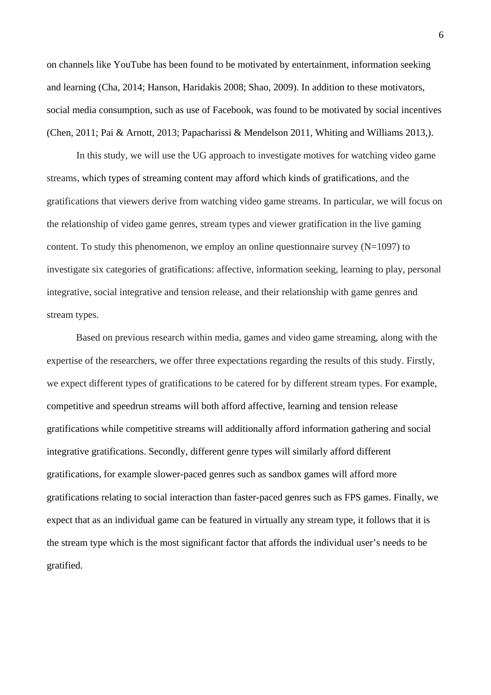on channels like YouTube has been found to be motivated by entertainment, information seeking and learning (Cha, 2014; Hanson, Haridakis 2008; Shao, 2009). In addition to these motivators, social media consumption, such as use of Facebook, was found to be motivated by social incentives (Chen, 2011; Pai & Arnott, 2013; Papacharissi & Mendelson 2011, Whiting and Williams 2013,).

In this study, we will use the UG approach to investigate motives for watching video game streams, which types of streaming content may afford which kinds of gratifications, and the gratifications that viewers derive from watching video game streams. In particular, we will focus on the relationship of video game genres, stream types and viewer gratification in the live gaming content. To study this phenomenon, we employ an online questionnaire survey  $(N=1097)$  to investigate six categories of gratifications: affective, information seeking, learning to play, personal integrative, social integrative and tension release, and their relationship with game genres and stream types.

Based on previous research within media, games and video game streaming, along with the expertise of the researchers, we offer three expectations regarding the results of this study. Firstly, we expect different types of gratifications to be catered for by different stream types. For example, competitive and speedrun streams will both afford affective, learning and tension release gratifications while competitive streams will additionally afford information gathering and social integrative gratifications. Secondly, different genre types will similarly afford different gratifications, for example slower-paced genres such as sandbox games will afford more gratifications relating to social interaction than faster-paced genres such as FPS games. Finally, we expect that as an individual game can be featured in virtually any stream type, it follows that it is the stream type which is the most significant factor that affords the individual user's needs to be gratified.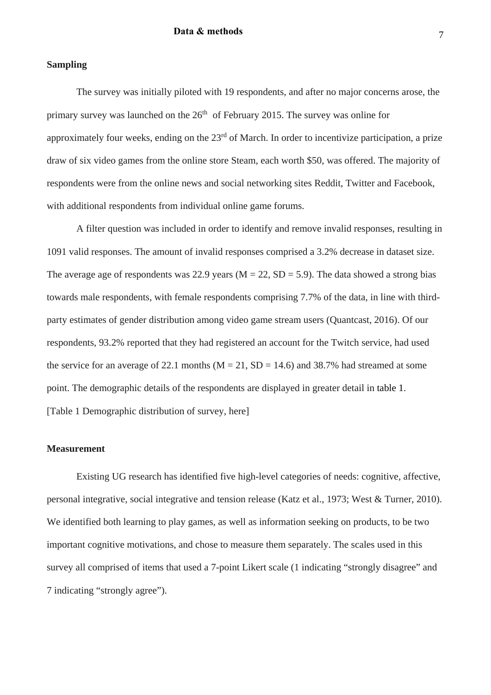# **Sampling**

The survey was initially piloted with 19 respondents, and after no major concerns arose, the primary survey was launched on the  $26<sup>th</sup>$  of February 2015. The survey was online for approximately four weeks, ending on the  $23<sup>rd</sup>$  of March. In order to incentivize participation, a prize draw of six video games from the online store Steam, each worth \$50, was offered. The majority of respondents were from the online news and social networking sites Reddit, Twitter and Facebook, with additional respondents from individual online game forums.

A filter question was included in order to identify and remove invalid responses, resulting in 1091 valid responses. The amount of invalid responses comprised a 3.2% decrease in dataset size. The average age of respondents was 22.9 years ( $M = 22$ ,  $SD = 5.9$ ). The data showed a strong bias towards male respondents, with female respondents comprising 7.7% of the data, in line with thirdparty estimates of gender distribution among video game stream users (Quantcast, 2016). Of our respondents, 93.2% reported that they had registered an account for the Twitch service, had used the service for an average of 22.1 months ( $M = 21$ ,  $SD = 14.6$ ) and 38.7% had streamed at some point. The demographic details of the respondents are displayed in greater detail in table 1. [Table 1 Demographic distribution of survey, here]

# **Measurement**

Existing UG research has identified five high-level categories of needs: cognitive, affective, personal integrative, social integrative and tension release (Katz et al., 1973; West & Turner, 2010). We identified both learning to play games, as well as information seeking on products, to be two important cognitive motivations, and chose to measure them separately. The scales used in this survey all comprised of items that used a 7-point Likert scale (1 indicating "strongly disagree" and 7 indicating "strongly agree").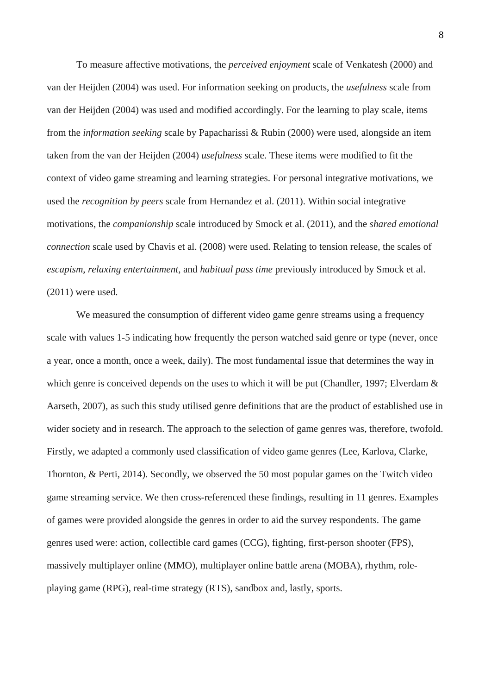To measure affective motivations, the *perceived enjoyment* scale of Venkatesh (2000) and van der Heijden (2004) was used. For information seeking on products, the *usefulness* scale from van der Heijden (2004) was used and modified accordingly. For the learning to play scale, items from the *information seeking* scale by Papacharissi & Rubin (2000) were used, alongside an item taken from the van der Heijden (2004) *usefulness* scale. These items were modified to fit the context of video game streaming and learning strategies. For personal integrative motivations, we used the *recognition by peers* scale from Hernandez et al. (2011). Within social integrative motivations, the *companionship* scale introduced by Smock et al. (2011), and the *shared emotional connection* scale used by Chavis et al. (2008) were used. Relating to tension release, the scales of *escapism*, *relaxing entertainment*, and *habitual pass time* previously introduced by Smock et al. (2011) were used.

We measured the consumption of different video game genre streams using a frequency scale with values 1-5 indicating how frequently the person watched said genre or type (never, once a year, once a month, once a week, daily). The most fundamental issue that determines the way in which genre is conceived depends on the uses to which it will be put (Chandler, 1997; Elverdam & Aarseth, 2007), as such this study utilised genre definitions that are the product of established use in wider society and in research. The approach to the selection of game genres was, therefore, twofold. Firstly, we adapted a commonly used classification of video game genres (Lee, Karlova, Clarke, Thornton, & Perti, 2014). Secondly, we observed the 50 most popular games on the Twitch video game streaming service. We then cross-referenced these findings, resulting in 11 genres. Examples of games were provided alongside the genres in order to aid the survey respondents. The game genres used were: action, collectible card games (CCG), fighting, first-person shooter (FPS), massively multiplayer online (MMO), multiplayer online battle arena (MOBA), rhythm, roleplaying game (RPG), real-time strategy (RTS), sandbox and, lastly, sports.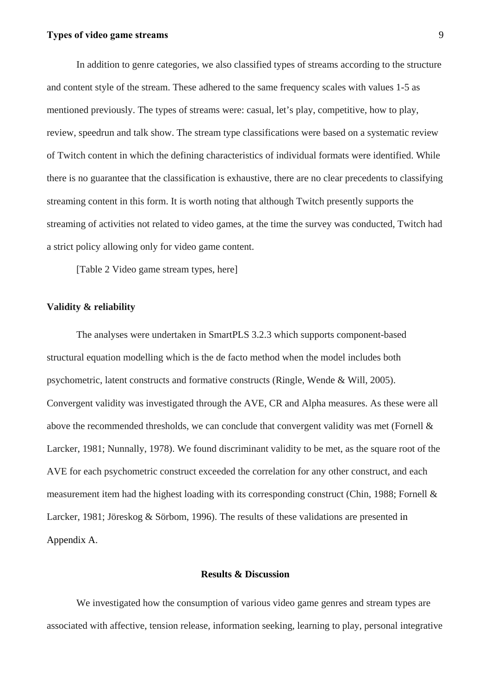# **Types of video game streams** 9

In addition to genre categories, we also classified types of streams according to the structure and content style of the stream. These adhered to the same frequency scales with values 1-5 as mentioned previously. The types of streams were: casual, let's play, competitive, how to play, review, speedrun and talk show. The stream type classifications were based on a systematic review of Twitch content in which the defining characteristics of individual formats were identified. While there is no guarantee that the classification is exhaustive, there are no clear precedents to classifying streaming content in this form. It is worth noting that although Twitch presently supports the streaming of activities not related to video games, at the time the survey was conducted, Twitch had a strict policy allowing only for video game content.

[Table 2 Video game stream types, here]

## **Validity & reliability**

The analyses were undertaken in SmartPLS 3.2.3 which supports component-based structural equation modelling which is the de facto method when the model includes both psychometric, latent constructs and formative constructs (Ringle, Wende & Will, 2005). Convergent validity was investigated through the AVE, CR and Alpha measures. As these were all above the recommended thresholds, we can conclude that convergent validity was met (Fornell & Larcker, 1981; Nunnally, 1978). We found discriminant validity to be met, as the square root of the AVE for each psychometric construct exceeded the correlation for any other construct, and each measurement item had the highest loading with its corresponding construct (Chin, 1988; Fornell & Larcker, 1981; Jöreskog & Sörbom, 1996). The results of these validations are presented in Appendix A.

## **Results & Discussion**

We investigated how the consumption of various video game genres and stream types are associated with affective, tension release, information seeking, learning to play, personal integrative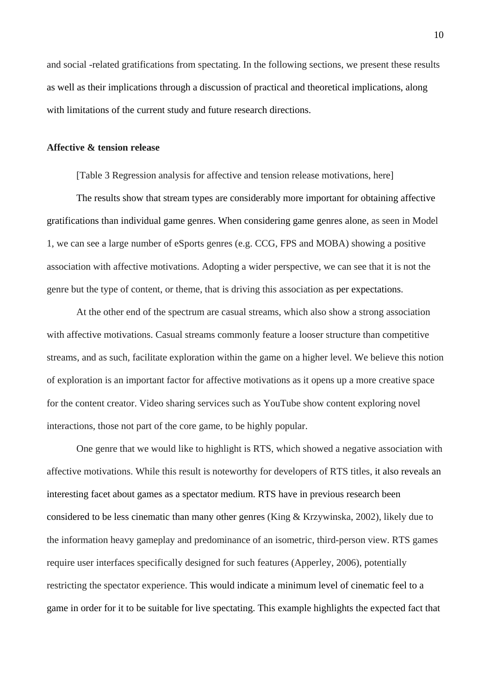and social -related gratifications from spectating. In the following sections, we present these results as well as their implications through a discussion of practical and theoretical implications, along with limitations of the current study and future research directions.

#### **Affective & tension release**

[Table 3 Regression analysis for affective and tension release motivations, here]

The results show that stream types are considerably more important for obtaining affective gratifications than individual game genres. When considering game genres alone, as seen in Model 1, we can see a large number of eSports genres (e.g. CCG, FPS and MOBA) showing a positive association with affective motivations. Adopting a wider perspective, we can see that it is not the genre but the type of content, or theme, that is driving this association as per expectations.

At the other end of the spectrum are casual streams, which also show a strong association with affective motivations. Casual streams commonly feature a looser structure than competitive streams, and as such, facilitate exploration within the game on a higher level. We believe this notion of exploration is an important factor for affective motivations as it opens up a more creative space for the content creator. Video sharing services such as YouTube show content exploring novel interactions, those not part of the core game, to be highly popular.

One genre that we would like to highlight is RTS, which showed a negative association with affective motivations. While this result is noteworthy for developers of RTS titles, it also reveals an interesting facet about games as a spectator medium. RTS have in previous research been considered to be less cinematic than many other genres (King & Krzywinska, 2002), likely due to the information heavy gameplay and predominance of an isometric, third-person view. RTS games require user interfaces specifically designed for such features (Apperley, 2006), potentially restricting the spectator experience. This would indicate a minimum level of cinematic feel to a game in order for it to be suitable for live spectating. This example highlights the expected fact that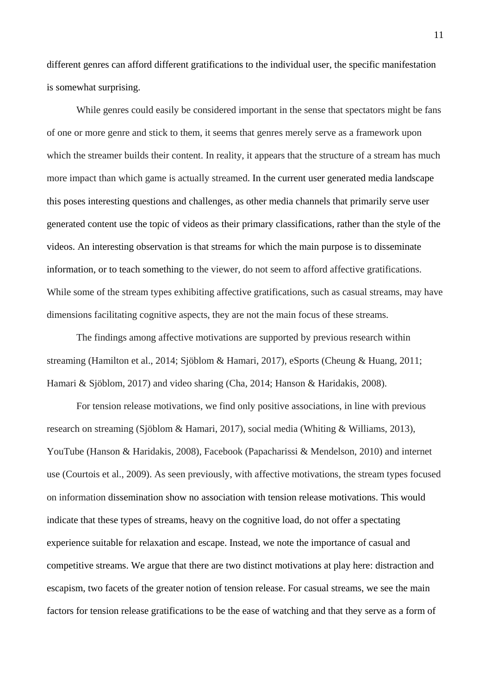different genres can afford different gratifications to the individual user, the specific manifestation is somewhat surprising.

While genres could easily be considered important in the sense that spectators might be fans of one or more genre and stick to them, it seems that genres merely serve as a framework upon which the streamer builds their content. In reality, it appears that the structure of a stream has much more impact than which game is actually streamed. In the current user generated media landscape this poses interesting questions and challenges, as other media channels that primarily serve user generated content use the topic of videos as their primary classifications, rather than the style of the videos. An interesting observation is that streams for which the main purpose is to disseminate information, or to teach something to the viewer, do not seem to afford affective gratifications. While some of the stream types exhibiting affective gratifications, such as casual streams, may have dimensions facilitating cognitive aspects, they are not the main focus of these streams.

The findings among affective motivations are supported by previous research within streaming (Hamilton et al., 2014; Sjöblom & Hamari, 2017), eSports (Cheung & Huang, 2011; Hamari & Sjöblom, 2017) and video sharing (Cha, 2014; Hanson & Haridakis, 2008).

For tension release motivations, we find only positive associations, in line with previous research on streaming (Sjöblom & Hamari, 2017), social media (Whiting & Williams, 2013), YouTube (Hanson & Haridakis, 2008), Facebook (Papacharissi & Mendelson, 2010) and internet use (Courtois et al., 2009). As seen previously, with affective motivations, the stream types focused on information dissemination show no association with tension release motivations. This would indicate that these types of streams, heavy on the cognitive load, do not offer a spectating experience suitable for relaxation and escape. Instead, we note the importance of casual and competitive streams. We argue that there are two distinct motivations at play here: distraction and escapism, two facets of the greater notion of tension release. For casual streams, we see the main factors for tension release gratifications to be the ease of watching and that they serve as a form of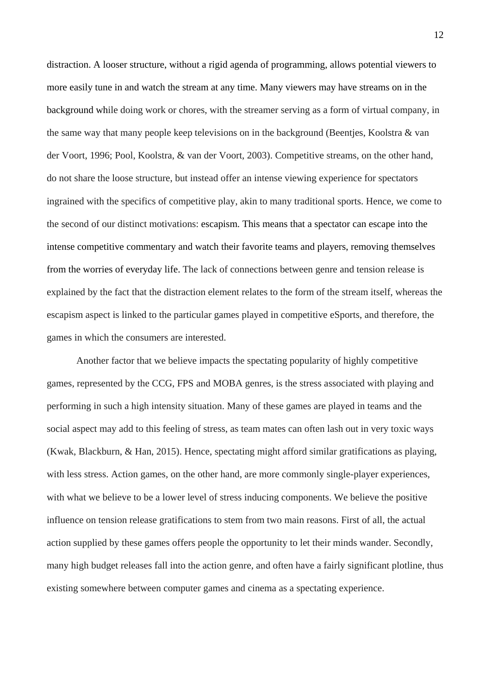distraction. A looser structure, without a rigid agenda of programming, allows potential viewers to more easily tune in and watch the stream at any time. Many viewers may have streams on in the background while doing work or chores, with the streamer serving as a form of virtual company, in the same way that many people keep televisions on in the background (Beentjes, Koolstra & van der Voort, 1996; Pool, Koolstra, & van der Voort, 2003). Competitive streams, on the other hand, do not share the loose structure, but instead offer an intense viewing experience for spectators ingrained with the specifics of competitive play, akin to many traditional sports. Hence, we come to the second of our distinct motivations: escapism. This means that a spectator can escape into the intense competitive commentary and watch their favorite teams and players, removing themselves from the worries of everyday life. The lack of connections between genre and tension release is explained by the fact that the distraction element relates to the form of the stream itself, whereas the escapism aspect is linked to the particular games played in competitive eSports, and therefore, the games in which the consumers are interested.

Another factor that we believe impacts the spectating popularity of highly competitive games, represented by the CCG, FPS and MOBA genres, is the stress associated with playing and performing in such a high intensity situation. Many of these games are played in teams and the social aspect may add to this feeling of stress, as team mates can often lash out in very toxic ways (Kwak, Blackburn, & Han, 2015). Hence, spectating might afford similar gratifications as playing, with less stress. Action games, on the other hand, are more commonly single-player experiences, with what we believe to be a lower level of stress inducing components. We believe the positive influence on tension release gratifications to stem from two main reasons. First of all, the actual action supplied by these games offers people the opportunity to let their minds wander. Secondly, many high budget releases fall into the action genre, and often have a fairly significant plotline, thus existing somewhere between computer games and cinema as a spectating experience.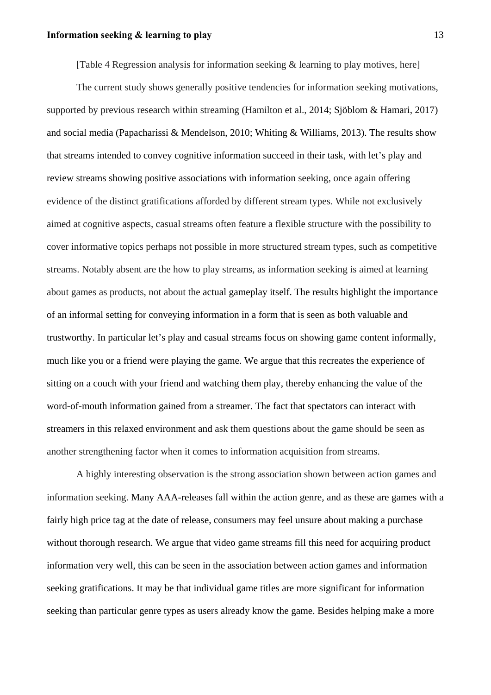[Table 4 Regression analysis for information seeking & learning to play motives, here]

The current study shows generally positive tendencies for information seeking motivations, supported by previous research within streaming (Hamilton et al., 2014; Sjöblom & Hamari, 2017) and social media (Papacharissi & Mendelson, 2010; Whiting & Williams, 2013). The results show that streams intended to convey cognitive information succeed in their task, with let's play and review streams showing positive associations with information seeking, once again offering evidence of the distinct gratifications afforded by different stream types. While not exclusively aimed at cognitive aspects, casual streams often feature a flexible structure with the possibility to cover informative topics perhaps not possible in more structured stream types, such as competitive streams. Notably absent are the how to play streams, as information seeking is aimed at learning about games as products, not about the actual gameplay itself. The results highlight the importance of an informal setting for conveying information in a form that is seen as both valuable and trustworthy. In particular let's play and casual streams focus on showing game content informally, much like you or a friend were playing the game. We argue that this recreates the experience of sitting on a couch with your friend and watching them play, thereby enhancing the value of the word-of-mouth information gained from a streamer. The fact that spectators can interact with streamers in this relaxed environment and ask them questions about the game should be seen as another strengthening factor when it comes to information acquisition from streams.

A highly interesting observation is the strong association shown between action games and information seeking. Many AAA-releases fall within the action genre, and as these are games with a fairly high price tag at the date of release, consumers may feel unsure about making a purchase without thorough research. We argue that video game streams fill this need for acquiring product information very well, this can be seen in the association between action games and information seeking gratifications. It may be that individual game titles are more significant for information seeking than particular genre types as users already know the game. Besides helping make a more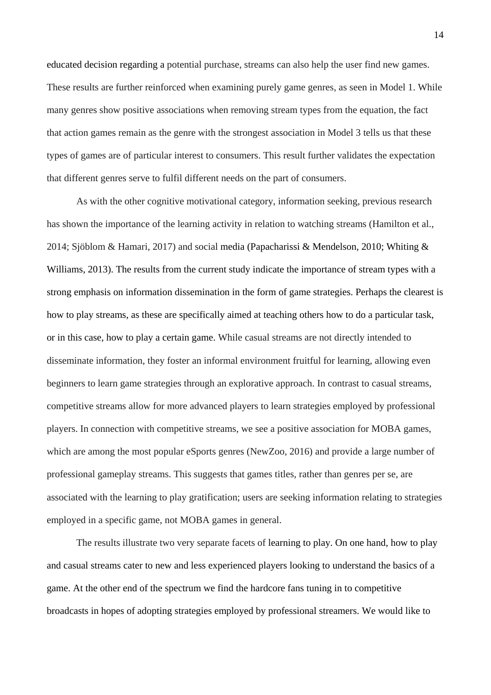educated decision regarding a potential purchase, streams can also help the user find new games. These results are further reinforced when examining purely game genres, as seen in Model 1. While many genres show positive associations when removing stream types from the equation, the fact that action games remain as the genre with the strongest association in Model 3 tells us that these types of games are of particular interest to consumers. This result further validates the expectation that different genres serve to fulfil different needs on the part of consumers.

As with the other cognitive motivational category, information seeking, previous research has shown the importance of the learning activity in relation to watching streams (Hamilton et al., 2014; Sjöblom & Hamari, 2017) and social media (Papacharissi & Mendelson, 2010; Whiting & Williams, 2013). The results from the current study indicate the importance of stream types with a strong emphasis on information dissemination in the form of game strategies. Perhaps the clearest is how to play streams, as these are specifically aimed at teaching others how to do a particular task, or in this case, how to play a certain game. While casual streams are not directly intended to disseminate information, they foster an informal environment fruitful for learning, allowing even beginners to learn game strategies through an explorative approach. In contrast to casual streams, competitive streams allow for more advanced players to learn strategies employed by professional players. In connection with competitive streams, we see a positive association for MOBA games, which are among the most popular eSports genres (NewZoo, 2016) and provide a large number of professional gameplay streams. This suggests that games titles, rather than genres per se, are associated with the learning to play gratification; users are seeking information relating to strategies employed in a specific game, not MOBA games in general.

The results illustrate two very separate facets of learning to play. On one hand, how to play and casual streams cater to new and less experienced players looking to understand the basics of a game. At the other end of the spectrum we find the hardcore fans tuning in to competitive broadcasts in hopes of adopting strategies employed by professional streamers. We would like to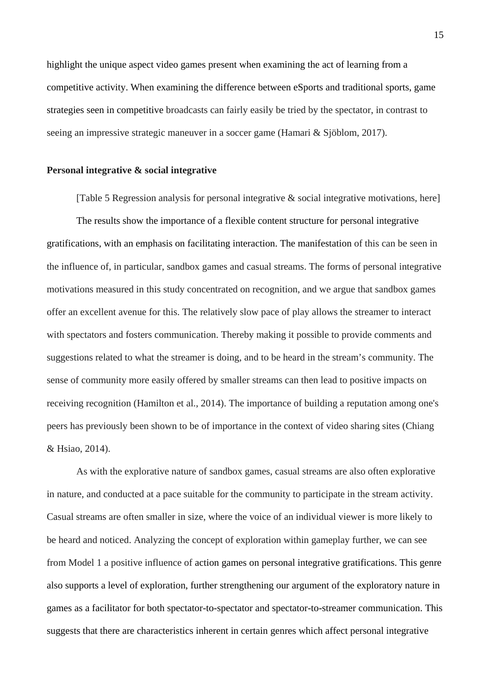highlight the unique aspect video games present when examining the act of learning from a competitive activity. When examining the difference between eSports and traditional sports, game strategies seen in competitive broadcasts can fairly easily be tried by the spectator, in contrast to seeing an impressive strategic maneuver in a soccer game (Hamari & Sjöblom, 2017).

#### **Personal integrative & social integrative**

[Table 5 Regression analysis for personal integrative & social integrative motivations, here] The results show the importance of a flexible content structure for personal integrative gratifications, with an emphasis on facilitating interaction. The manifestation of this can be seen in the influence of, in particular, sandbox games and casual streams. The forms of personal integrative motivations measured in this study concentrated on recognition, and we argue that sandbox games offer an excellent avenue for this. The relatively slow pace of play allows the streamer to interact with spectators and fosters communication. Thereby making it possible to provide comments and suggestions related to what the streamer is doing, and to be heard in the stream's community. The sense of community more easily offered by smaller streams can then lead to positive impacts on receiving recognition (Hamilton et al., 2014). The importance of building a reputation among one's peers has previously been shown to be of importance in the context of video sharing sites (Chiang & Hsiao, 2014).

As with the explorative nature of sandbox games, casual streams are also often explorative in nature, and conducted at a pace suitable for the community to participate in the stream activity. Casual streams are often smaller in size, where the voice of an individual viewer is more likely to be heard and noticed. Analyzing the concept of exploration within gameplay further, we can see from Model 1 a positive influence of action games on personal integrative gratifications. This genre also supports a level of exploration, further strengthening our argument of the exploratory nature in games as a facilitator for both spectator-to-spectator and spectator-to-streamer communication. This suggests that there are characteristics inherent in certain genres which affect personal integrative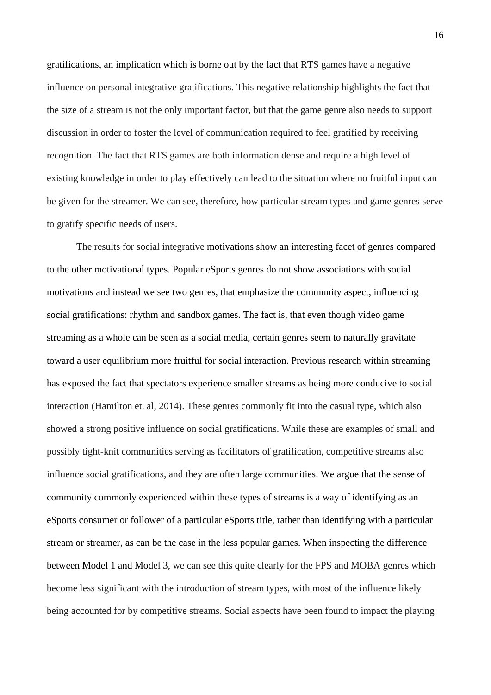gratifications, an implication which is borne out by the fact that RTS games have a negative influence on personal integrative gratifications. This negative relationship highlights the fact that the size of a stream is not the only important factor, but that the game genre also needs to support discussion in order to foster the level of communication required to feel gratified by receiving recognition. The fact that RTS games are both information dense and require a high level of existing knowledge in order to play effectively can lead to the situation where no fruitful input can be given for the streamer. We can see, therefore, how particular stream types and game genres serve to gratify specific needs of users.

The results for social integrative motivations show an interesting facet of genres compared to the other motivational types. Popular eSports genres do not show associations with social motivations and instead we see two genres, that emphasize the community aspect, influencing social gratifications: rhythm and sandbox games. The fact is, that even though video game streaming as a whole can be seen as a social media, certain genres seem to naturally gravitate toward a user equilibrium more fruitful for social interaction. Previous research within streaming has exposed the fact that spectators experience smaller streams as being more conducive to social interaction (Hamilton et. al, 2014). These genres commonly fit into the casual type, which also showed a strong positive influence on social gratifications. While these are examples of small and possibly tight-knit communities serving as facilitators of gratification, competitive streams also influence social gratifications, and they are often large communities. We argue that the sense of community commonly experienced within these types of streams is a way of identifying as an eSports consumer or follower of a particular eSports title, rather than identifying with a particular stream or streamer, as can be the case in the less popular games. When inspecting the difference between Model 1 and Model 3, we can see this quite clearly for the FPS and MOBA genres which become less significant with the introduction of stream types, with most of the influence likely being accounted for by competitive streams. Social aspects have been found to impact the playing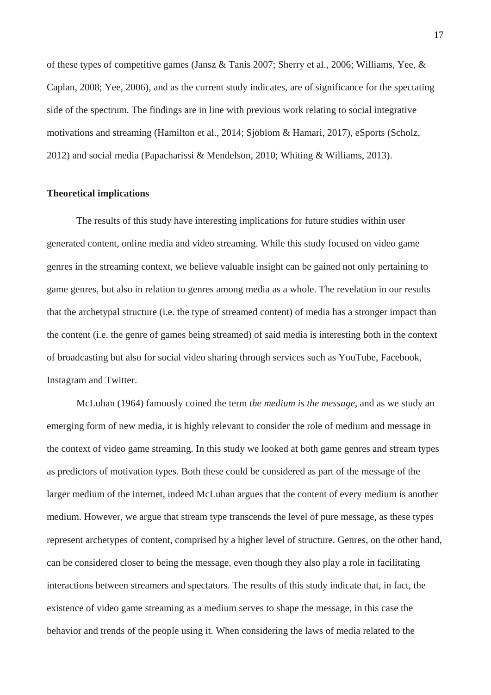of these types of competitive games (Jansz & Tanis 2007; Sherry et al., 2006; Williams, Yee, & Caplan, 2008; Yee, 2006), and as the current study indicates, are of significance for the spectating side of the spectrum. The findings are in line with previous work relating to social integrative motivations and streaming (Hamilton et al., 2014; Sjöblom & Hamari, 2017), eSports (Scholz, 2012) and social media (Papacharissi & Mendelson, 2010; Whiting & Williams, 2013).

#### **Theoretical implications**

The results of this study have interesting implications for future studies within user generated content, online media and video streaming. While this study focused on video game genres in the streaming context, we believe valuable insight can be gained not only pertaining to game genres, but also in relation to genres among media as a whole. The revelation in our results that the archetypal structure (i.e. the type of streamed content) of media has a stronger impact than the content (i.e. the genre of games being streamed) of said media is interesting both in the context of broadcasting but also for social video sharing through services such as YouTube, Facebook, Instagram and Twitter.

McLuhan (1964) famously coined the term *the medium is the message*, and as we study an emerging form of new media, it is highly relevant to consider the role of medium and message in the context of video game streaming. In this study we looked at both game genres and stream types as predictors of motivation types. Both these could be considered as part of the message of the larger medium of the internet, indeed McLuhan argues that the content of every medium is another medium. However, we argue that stream type transcends the level of pure message, as these types represent archetypes of content, comprised by a higher level of structure. Genres, on the other hand, can be considered closer to being the message, even though they also play a role in facilitating interactions between streamers and spectators. The results of this study indicate that, in fact, the existence of video game streaming as a medium serves to shape the message, in this case the behavior and trends of the people using it. When considering the laws of media related to the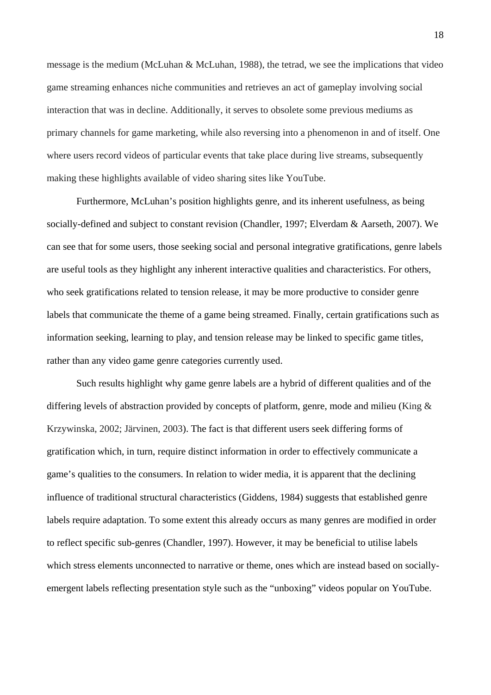message is the medium (McLuhan & McLuhan, 1988), the tetrad, we see the implications that video game streaming enhances niche communities and retrieves an act of gameplay involving social interaction that was in decline. Additionally, it serves to obsolete some previous mediums as primary channels for game marketing, while also reversing into a phenomenon in and of itself. One where users record videos of particular events that take place during live streams, subsequently making these highlights available of video sharing sites like YouTube.

Furthermore, McLuhan's position highlights genre, and its inherent usefulness, as being socially-defined and subject to constant revision (Chandler, 1997; Elverdam & Aarseth, 2007). We can see that for some users, those seeking social and personal integrative gratifications, genre labels are useful tools as they highlight any inherent interactive qualities and characteristics. For others, who seek gratifications related to tension release, it may be more productive to consider genre labels that communicate the theme of a game being streamed. Finally, certain gratifications such as information seeking, learning to play, and tension release may be linked to specific game titles, rather than any video game genre categories currently used.

Such results highlight why game genre labels are a hybrid of different qualities and of the differing levels of abstraction provided by concepts of platform, genre, mode and milieu (King & Krzywinska, 2002; Järvinen, 2003). The fact is that different users seek differing forms of gratification which, in turn, require distinct information in order to effectively communicate a game's qualities to the consumers. In relation to wider media, it is apparent that the declining influence of traditional structural characteristics (Giddens, 1984) suggests that established genre labels require adaptation. To some extent this already occurs as many genres are modified in order to reflect specific sub-genres (Chandler, 1997). However, it may be beneficial to utilise labels which stress elements unconnected to narrative or theme, ones which are instead based on sociallyemergent labels reflecting presentation style such as the "unboxing" videos popular on YouTube.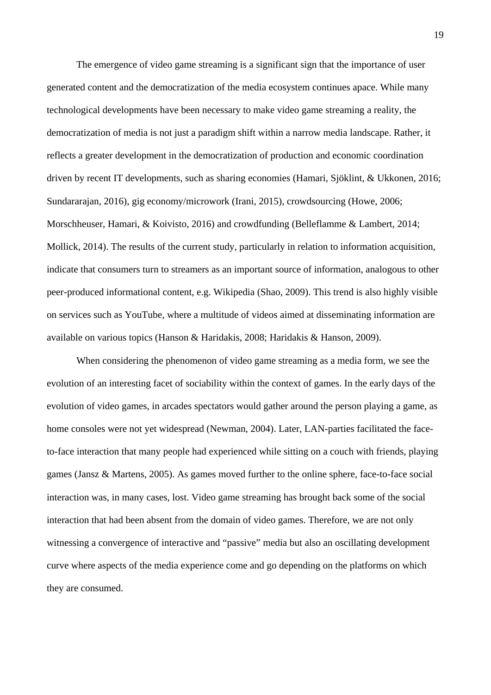The emergence of video game streaming is a significant sign that the importance of user generated content and the democratization of the media ecosystem continues apace. While many technological developments have been necessary to make video game streaming a reality, the democratization of media is not just a paradigm shift within a narrow media landscape. Rather, it reflects a greater development in the democratization of production and economic coordination driven by recent IT developments, such as sharing economies (Hamari, Sjöklint, & Ukkonen, 2016; Sundararajan, 2016), gig economy/microwork (Irani, 2015), crowdsourcing (Howe, 2006; Morschheuser, Hamari, & Koivisto, 2016) and crowdfunding (Belleflamme & Lambert, 2014; Mollick, 2014). The results of the current study, particularly in relation to information acquisition, indicate that consumers turn to streamers as an important source of information, analogous to other peer-produced informational content, e.g. Wikipedia (Shao, 2009). This trend is also highly visible on services such as YouTube, where a multitude of videos aimed at disseminating information are available on various topics (Hanson & Haridakis, 2008; Haridakis & Hanson, 2009).

When considering the phenomenon of video game streaming as a media form, we see the evolution of an interesting facet of sociability within the context of games. In the early days of the evolution of video games, in arcades spectators would gather around the person playing a game, as home consoles were not yet widespread (Newman, 2004). Later, LAN-parties facilitated the faceto-face interaction that many people had experienced while sitting on a couch with friends, playing games (Jansz & Martens, 2005). As games moved further to the online sphere, face-to-face social interaction was, in many cases, lost. Video game streaming has brought back some of the social interaction that had been absent from the domain of video games. Therefore, we are not only witnessing a convergence of interactive and "passive" media but also an oscillating development curve where aspects of the media experience come and go depending on the platforms on which they are consumed.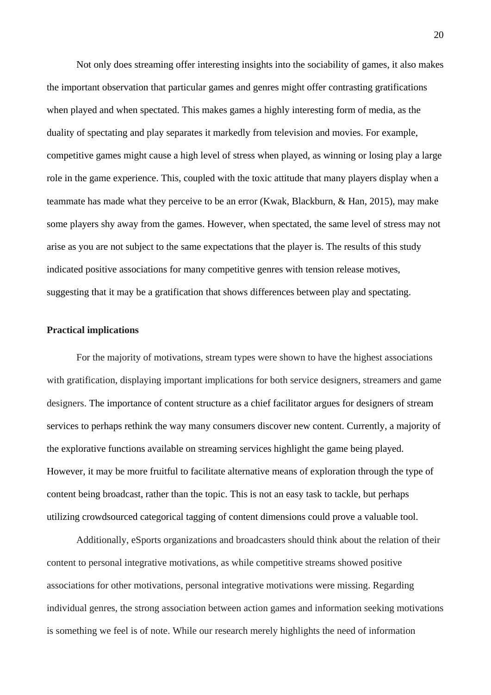Not only does streaming offer interesting insights into the sociability of games, it also makes the important observation that particular games and genres might offer contrasting gratifications when played and when spectated. This makes games a highly interesting form of media, as the duality of spectating and play separates it markedly from television and movies. For example, competitive games might cause a high level of stress when played, as winning or losing play a large role in the game experience. This, coupled with the toxic attitude that many players display when a teammate has made what they perceive to be an error (Kwak, Blackburn, & Han, 2015), may make some players shy away from the games. However, when spectated, the same level of stress may not arise as you are not subject to the same expectations that the player is. The results of this study indicated positive associations for many competitive genres with tension release motives, suggesting that it may be a gratification that shows differences between play and spectating.

## **Practical implications**

For the majority of motivations, stream types were shown to have the highest associations with gratification, displaying important implications for both service designers, streamers and game designers. The importance of content structure as a chief facilitator argues for designers of stream services to perhaps rethink the way many consumers discover new content. Currently, a majority of the explorative functions available on streaming services highlight the game being played. However, it may be more fruitful to facilitate alternative means of exploration through the type of content being broadcast, rather than the topic. This is not an easy task to tackle, but perhaps utilizing crowdsourced categorical tagging of content dimensions could prove a valuable tool.

Additionally, eSports organizations and broadcasters should think about the relation of their content to personal integrative motivations, as while competitive streams showed positive associations for other motivations, personal integrative motivations were missing. Regarding individual genres, the strong association between action games and information seeking motivations is something we feel is of note. While our research merely highlights the need of information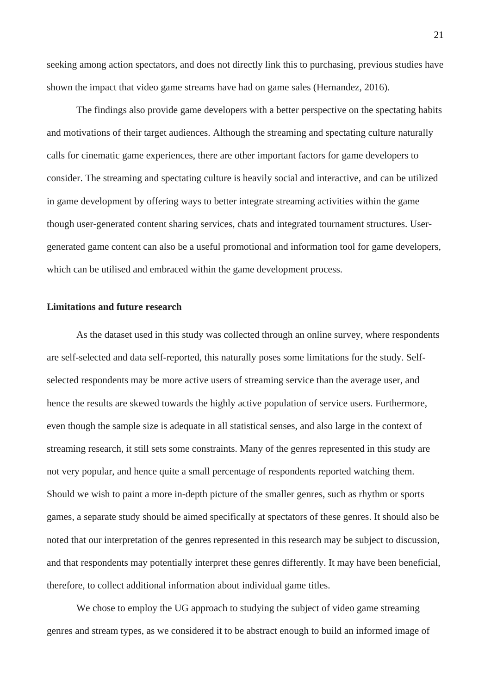seeking among action spectators, and does not directly link this to purchasing, previous studies have shown the impact that video game streams have had on game sales (Hernandez, 2016).

The findings also provide game developers with a better perspective on the spectating habits and motivations of their target audiences. Although the streaming and spectating culture naturally calls for cinematic game experiences, there are other important factors for game developers to consider. The streaming and spectating culture is heavily social and interactive, and can be utilized in game development by offering ways to better integrate streaming activities within the game though user-generated content sharing services, chats and integrated tournament structures. Usergenerated game content can also be a useful promotional and information tool for game developers, which can be utilised and embraced within the game development process.

#### **Limitations and future research**

As the dataset used in this study was collected through an online survey, where respondents are self-selected and data self-reported, this naturally poses some limitations for the study. Selfselected respondents may be more active users of streaming service than the average user, and hence the results are skewed towards the highly active population of service users. Furthermore, even though the sample size is adequate in all statistical senses, and also large in the context of streaming research, it still sets some constraints. Many of the genres represented in this study are not very popular, and hence quite a small percentage of respondents reported watching them. Should we wish to paint a more in-depth picture of the smaller genres, such as rhythm or sports games, a separate study should be aimed specifically at spectators of these genres. It should also be noted that our interpretation of the genres represented in this research may be subject to discussion, and that respondents may potentially interpret these genres differently. It may have been beneficial, therefore, to collect additional information about individual game titles.

We chose to employ the UG approach to studying the subject of video game streaming genres and stream types, as we considered it to be abstract enough to build an informed image of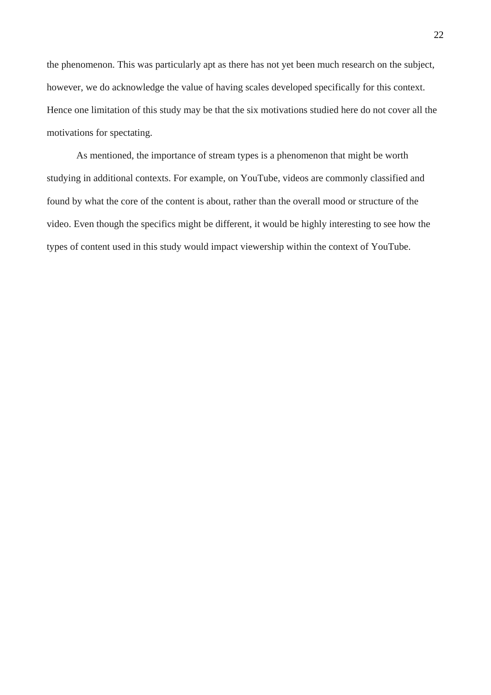the phenomenon. This was particularly apt as there has not yet been much research on the subject, however, we do acknowledge the value of having scales developed specifically for this context. Hence one limitation of this study may be that the six motivations studied here do not cover all the motivations for spectating.

As mentioned, the importance of stream types is a phenomenon that might be worth studying in additional contexts. For example, on YouTube, videos are commonly classified and found by what the core of the content is about, rather than the overall mood or structure of the video. Even though the specifics might be different, it would be highly interesting to see how the types of content used in this study would impact viewership within the context of YouTube.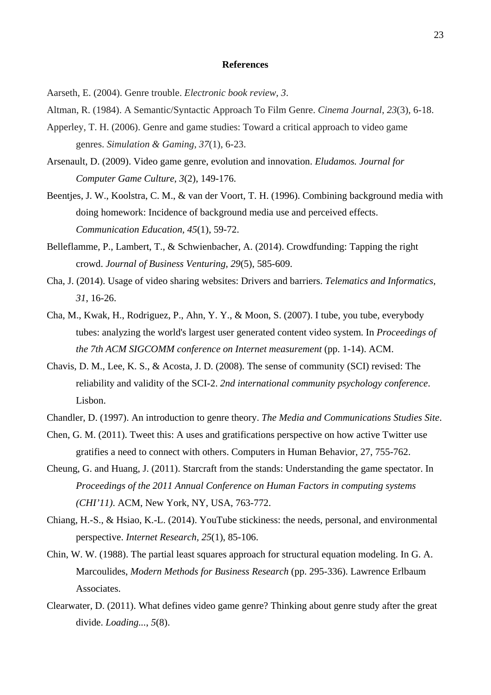#### **References**

Aarseth, E. (2004). Genre trouble. *Electronic book review*, *3*.

- Altman, R. (1984). A Semantic/Syntactic Approach To Film Genre. *Cinema Journal*, *23*(3), 6-18.
- Apperley, T. H. (2006). Genre and game studies: Toward a critical approach to video game genres. *Simulation & Gaming*, *37*(1), 6-23.
- Arsenault, D. (2009). Video game genre, evolution and innovation. *Eludamos. Journal for Computer Game Culture*, *3*(2), 149-176.
- Beentjes, J. W., Koolstra, C. M., & van der Voort, T. H. (1996). Combining background media with doing homework: Incidence of background media use and perceived effects. *Communication Education, 45*(1), 59-72.
- Belleflamme, P., Lambert, T., & Schwienbacher, A. (2014). Crowdfunding: Tapping the right crowd. *Journal of Business Venturing, 29*(5), 585-609.
- Cha, J. (2014). Usage of video sharing websites: Drivers and barriers. *Telematics and Informatics, 31*, 16-26.
- Cha, M., Kwak, H., Rodriguez, P., Ahn, Y. Y., & Moon, S. (2007). I tube, you tube, everybody tubes: analyzing the world's largest user generated content video system. In *Proceedings of the 7th ACM SIGCOMM conference on Internet measurement* (pp. 1-14). ACM.
- Chavis, D. M., Lee, K. S., & Acosta, J. D. (2008). The sense of community (SCI) revised: The reliability and validity of the SCI-2. *2nd international community psychology conference*. Lisbon.
- Chandler, D. (1997). An introduction to genre theory. *The Media and Communications Studies Site*.
- Chen, G. M. (2011). Tweet this: A uses and gratifications perspective on how active Twitter use gratifies a need to connect with others. Computers in Human Behavior, 27, 755-762.
- Cheung, G. and Huang, J. (2011). Starcraft from the stands: Understanding the game spectator. In *Proceedings of the 2011 Annual Conference on Human Factors in computing systems (CHI'11)*. ACM, New York, NY, USA, 763-772.
- Chiang, H.-S., & Hsiao, K.-L. (2014). YouTube stickiness: the needs, personal, and environmental perspective. *Internet Research, 25*(1), 85-106.
- Chin, W. W. (1988). The partial least squares approach for structural equation modeling. In G. A. Marcoulides, *Modern Methods for Business Research* (pp. 295-336). Lawrence Erlbaum Associates.
- Clearwater, D. (2011). What defines video game genre? Thinking about genre study after the great divide. *Loading...*, *5*(8).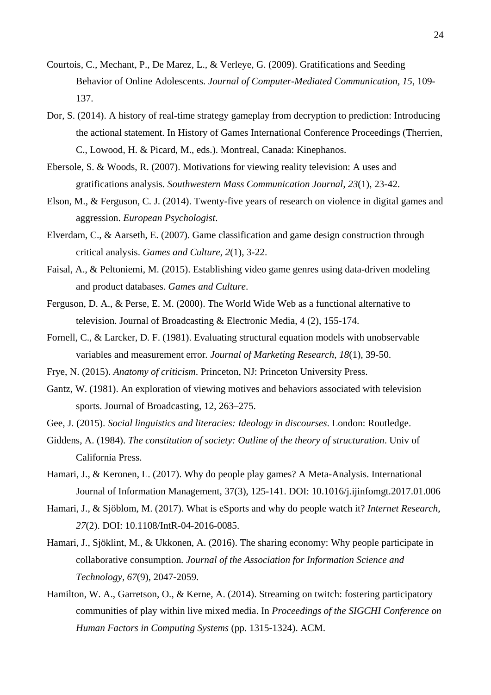- Courtois, C., Mechant, P., De Marez, L., & Verleye, G. (2009). Gratifications and Seeding Behavior of Online Adolescents. *Journal of Computer-Mediated Communication, 15*, 109- 137.
- Dor, S. (2014). A history of real-time strategy gameplay from decryption to prediction: Introducing the actional statement. In History of Games International Conference Proceedings (Therrien, C., Lowood, H. & Picard, M., eds.). Montreal, Canada: Kinephanos.
- Ebersole, S. & Woods, R. (2007). Motivations for viewing reality television: A uses and gratifications analysis. *Southwestern Mass Communication Journal, 23*(1), 23-42.
- Elson, M., & Ferguson, C. J. (2014). Twenty-five years of research on violence in digital games and aggression. *European Psychologist*.
- Elverdam, C., & Aarseth, E. (2007). Game classification and game design construction through critical analysis. *Games and Culture*, *2*(1), 3-22.
- Faisal, A., & Peltoniemi, M. (2015). Establishing video game genres using data-driven modeling and product databases. *Games and Culture*.
- Ferguson, D. A., & Perse, E. M. (2000). The World Wide Web as a functional alternative to television. Journal of Broadcasting & Electronic Media, 4 (2), 155-174.
- Fornell, C., & Larcker, D. F. (1981). Evaluating structural equation models with unobservable variables and measurement error*. Journal of Marketing Research, 18*(1), 39-50.
- Frye, N. (2015). *Anatomy of criticism*. Princeton, NJ: Princeton University Press.
- Gantz, W. (1981). An exploration of viewing motives and behaviors associated with television sports. Journal of Broadcasting, 12, 263–275.
- Gee, J. (2015). *Social linguistics and literacies: Ideology in discourses*. London: Routledge.
- Giddens, A. (1984). *The constitution of society: Outline of the theory of structuration*. Univ of California Press.
- Hamari, J., & Keronen, L. (2017). Why do people play games? A Meta-Analysis. International Journal of Information Management, 37(3), 125-141. DOI: 10.1016/j.ijinfomgt.2017.01.006
- Hamari, J., & Sjöblom, M. (2017). What is eSports and why do people watch it? *Internet Research, 27*(2). DOI: 10.1108/IntR-04-2016-0085.
- Hamari, J., Sjöklint, M., & Ukkonen, A. (2016). The sharing economy: Why people participate in collaborative consumption*. Journal of the Association for Information Science and Technology, 67*(9), 2047-2059.
- Hamilton, W. A., Garretson, O., & Kerne, A. (2014). Streaming on twitch: fostering participatory communities of play within live mixed media. In *Proceedings of the SIGCHI Conference on Human Factors in Computing Systems* (pp. 1315-1324). ACM.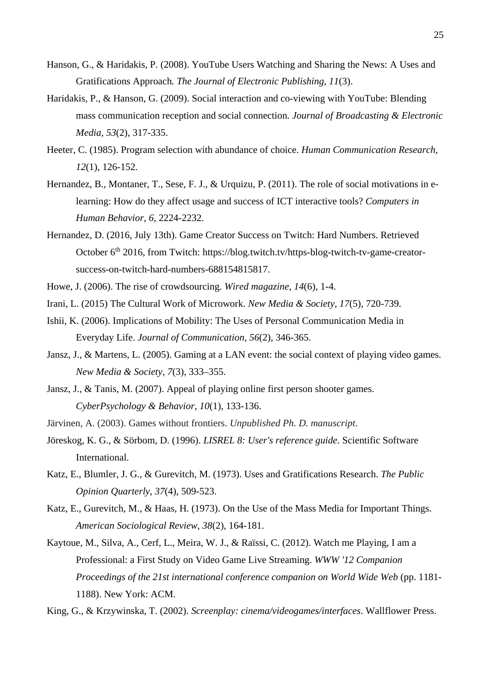- Hanson, G., & Haridakis, P. (2008). YouTube Users Watching and Sharing the News: A Uses and Gratifications Approach*. The Journal of Electronic Publishing, 11*(3).
- Haridakis, P., & Hanson, G. (2009). Social interaction and co-viewing with YouTube: Blending mass communication reception and social connection*. Journal of Broadcasting & Electronic Media, 53*(2), 317-335.
- Heeter, C. (1985). Program selection with abundance of choice. *Human Communication Research, 12*(1), 126-152.
- Hernandez, B., Montaner, T., Sese, F. J., & Urquizu, P. (2011). The role of social motivations in elearning: How do they affect usage and success of ICT interactive tools? *Computers in Human Behavior, 6*, 2224-2232.
- Hernandez, D. (2016, July 13th). Game Creator Success on Twitch: Hard Numbers. Retrieved October 6<sup>th</sup> 2016, from Twitch: https://blog.twitch.tv/https-blog-twitch-tv-game-creatorsuccess-on-twitch-hard-numbers-688154815817.
- Howe, J. (2006). The rise of crowdsourcing. *Wired magazine, 14*(6), 1-4.
- Irani, L. (2015) The Cultural Work of Microwork. *New Media & Society, 17*(5), 720-739.
- Ishii, K. (2006). Implications of Mobility: The Uses of Personal Communication Media in Everyday Life. *Journal of Communication, 56*(2), 346-365.
- Jansz, J., & Martens, L. (2005). Gaming at a LAN event: the social context of playing video games. *New Media & Society, 7*(3), 333–355.
- Jansz, J., & Tanis, M. (2007). Appeal of playing online first person shooter games. *CyberPsychology & Behavior, 10*(1), 133-136.
- Järvinen, A. (2003). Games without frontiers. *Unpublished Ph. D. manuscript*.
- Jöreskog, K. G., & Sörbom, D. (1996). *LISREL 8: User's reference guide*. Scientific Software International.
- Katz, E., Blumler, J. G., & Gurevitch, M. (1973). Uses and Gratifications Research. *The Public Opinion Quarterly, 37*(4), 509-523.
- Katz, E., Gurevitch, M., & Haas, H. (1973). On the Use of the Mass Media for Important Things. *American Sociological Review, 38*(2), 164-181.
- Kaytoue, M., Silva, A., Cerf, L., Meira, W. J., & Raïssi, C. (2012). Watch me Playing, I am a Professional: a First Study on Video Game Live Streaming. *WWW '12 Companion Proceedings of the 21st international conference companion on World Wide Web* (pp. 1181- 1188). New York: ACM.

King, G., & Krzywinska, T. (2002). *Screenplay: cinema/videogames/interfaces*. Wallflower Press.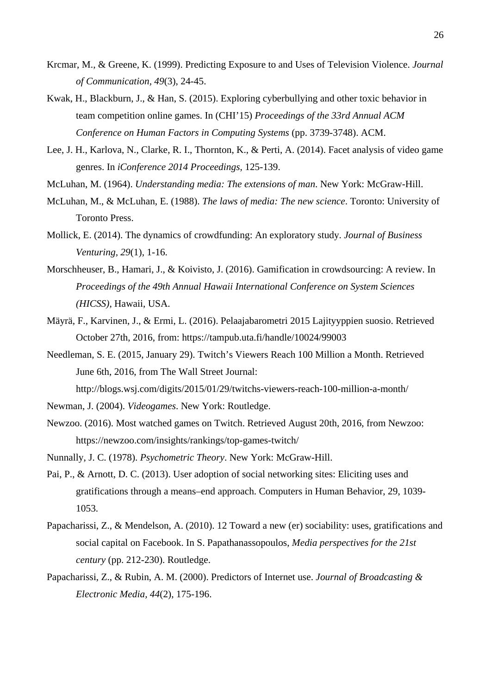- Krcmar, M., & Greene, K. (1999). Predicting Exposure to and Uses of Television Violence. *Journal of Communication, 49*(3), 24-45.
- Kwak, H., Blackburn, J., & Han, S. (2015). Exploring cyberbullying and other toxic behavior in team competition online games. In (CHI'15) *Proceedings of the 33rd Annual ACM Conference on Human Factors in Computing Systems* (pp. 3739-3748). ACM.
- Lee, J. H., Karlova, N., Clarke, R. I., Thornton, K., & Perti, A. (2014). Facet analysis of video game genres. In *iConference 2014 Proceedings*, 125-139.
- McLuhan, M. (1964). *Understanding media: The extensions of man*. New York: McGraw-Hill.
- McLuhan, M., & McLuhan, E. (1988). *The laws of media: The new science*. Toronto: University of Toronto Press.
- Mollick, E. (2014). The dynamics of crowdfunding: An exploratory study. *Journal of Business Venturing, 29*(1), 1-16.
- Morschheuser, B., Hamari, J., & Koivisto, J. (2016). Gamification in crowdsourcing: A review. In *Proceedings of the 49th Annual Hawaii International Conference on System Sciences (HICSS)*, Hawaii, USA.
- Mäyrä, F., Karvinen, J., & Ermi, L. (2016). Pelaajabarometri 2015 Lajityyppien suosio. Retrieved October 27th, 2016, from: https://tampub.uta.fi/handle/10024/99003
- Needleman, S. E. (2015, January 29). Twitch's Viewers Reach 100 Million a Month. Retrieved June 6th, 2016, from The Wall Street Journal:
	- http://blogs.wsj.com/digits/2015/01/29/twitchs-viewers-reach-100-million-a-month/
- Newman, J. (2004). *Videogames*. New York: Routledge.
- Newzoo. (2016). Most watched games on Twitch. Retrieved August 20th, 2016, from Newzoo: https://newzoo.com/insights/rankings/top-games-twitch/
- Nunnally, J. C. (1978). *Psychometric Theory*. New York: McGraw-Hill.
- Pai, P., & Arnott, D. C. (2013). User adoption of social networking sites: Eliciting uses and gratifications through a means–end approach. Computers in Human Behavior, 29, 1039- 1053.
- Papacharissi, Z., & Mendelson, A. (2010). 12 Toward a new (er) sociability: uses, gratifications and social capital on Facebook. In S. Papathanassopoulos, *Media perspectives for the 21st century* (pp. 212-230). Routledge.
- Papacharissi, Z., & Rubin, A. M. (2000). Predictors of Internet use. *Journal of Broadcasting & Electronic Media, 44*(2), 175-196.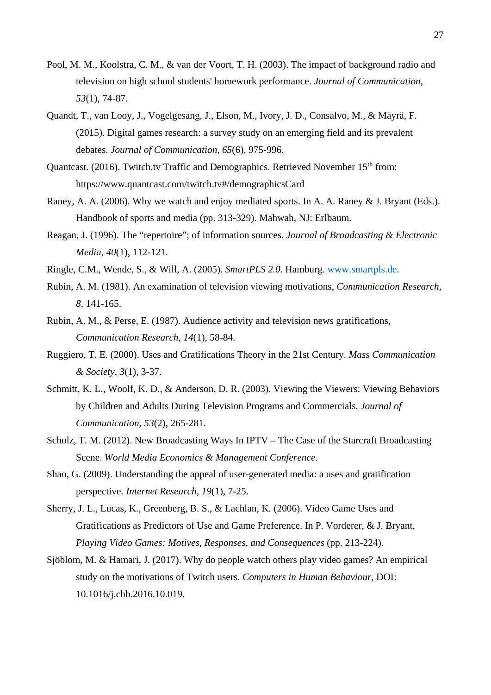- Pool, M. M., Koolstra, C. M., & van der Voort, T. H. (2003). The impact of background radio and television on high school students' homework performance. *Journal of Communication, 53*(1), 74-87.
- Quandt, T., van Looy, J., Vogelgesang, J., Elson, M., Ivory, J. D., Consalvo, M., & Mäyrä, F. (2015). Digital games research: a survey study on an emerging field and its prevalent debates. *Journal of Communication, 65*(6), 975-996.
- Quantcast. (2016). Twitch.tv Traffic and Demographics. Retrieved November 15<sup>th</sup> from: https://www.quantcast.com/twitch.tv#/demographicsCard
- Raney, A. A. (2006). Why we watch and enjoy mediated sports. In A. A. Raney & J. Bryant (Eds.). Handbook of sports and media (pp. 313-329). Mahwah, NJ: Erlbaum.
- Reagan, J. (1996). The "repertoire"; of information sources. *Journal of Broadcasting & Electronic Media, 40*(1), 112-121.
- Ringle, C.M., Wende, S., & Will, A. (2005). *SmartPLS 2.0*. Hamburg. [www.smartpls.de.](http://www.smartpls.de/)
- Rubin, A. M. (1981). An examination of television viewing motivations, *Communication Research, 8*, 141-165.
- Rubin, A. M., & Perse, E. (1987). Audience activity and television news gratifications, *Communication Research, 14*(1), 58-84.
- Ruggiero, T. E. (2000). Uses and Gratifications Theory in the 21st Century. *Mass Communication & Society, 3*(1), 3-37.
- Schmitt, K. L., Woolf, K. D., & Anderson, D. R. (2003). Viewing the Viewers: Viewing Behaviors by Children and Adults During Television Programs and Commercials. *Journal of Communication, 53*(2), 265-281.
- Scholz, T. M. (2012). New Broadcasting Ways In IPTV The Case of the Starcraft Broadcasting Scene. *World Media Economics & Management Conference*.
- Shao, G. (2009). Understanding the appeal of user-generated media: a uses and gratification perspective. *Internet Research, 19*(1), 7-25.
- Sherry, J. L., Lucas, K., Greenberg, B. S., & Lachlan, K. (2006). Video Game Uses and Gratifications as Predictors of Use and Game Preference. In P. Vorderer, & J. Bryant, *Playing Video Games: Motives, Responses, and Consequences* (pp. 213-224).
- Sjöblom, M. & Hamari, J. (2017). Why do people watch others play video games? An empirical study on the motivations of Twitch users. *Computers in Human Behaviour*, DOI: 10.1016/j.chb.2016.10.019.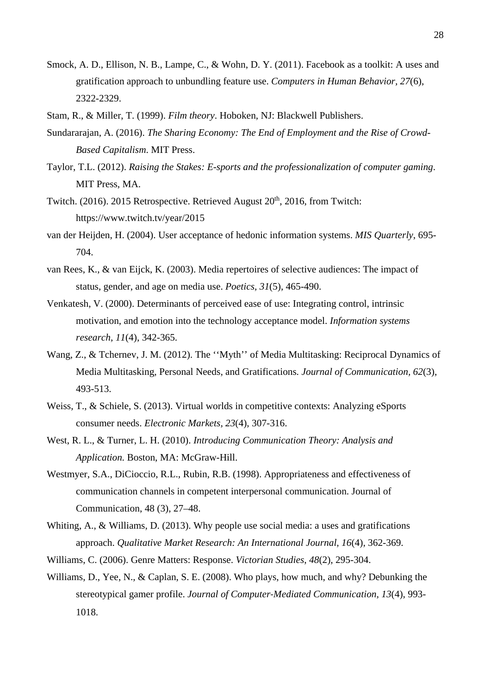- Smock, A. D., Ellison, N. B., Lampe, C., & Wohn, D. Y. (2011). Facebook as a toolkit: A uses and gratification approach to unbundling feature use. *Computers in Human Behavior, 27*(6), 2322-2329.
- Stam, R., & Miller, T. (1999). *Film theory*. Hoboken, NJ: Blackwell Publishers.
- Sundararajan, A. (2016). *The Sharing Economy: The End of Employment and the Rise of Crowd-Based Capitalism*. MIT Press.
- Taylor, T.L. (2012). *Raising the Stakes: E-sports and the professionalization of computer gaming*. MIT Press, MA.
- Twitch. (2016). 2015 Retrospective. Retrieved August 20<sup>th</sup>, 2016, from Twitch: https://www.twitch.tv/year/2015
- van der Heijden, H. (2004). User acceptance of hedonic information systems. *MIS Quarterly*, 695- 704.
- van Rees, K., & van Eijck, K. (2003). Media repertoires of selective audiences: The impact of status, gender, and age on media use. *Poetics, 31*(5), 465-490.
- Venkatesh, V. (2000). Determinants of perceived ease of use: Integrating control, intrinsic motivation, and emotion into the technology acceptance model. *Information systems research, 11*(4), 342-365.
- Wang, Z., & Tchernev, J. M. (2012). The ''Myth'' of Media Multitasking: Reciprocal Dynamics of Media Multitasking, Personal Needs, and Gratifications*. Journal of Communication, 62*(3), 493-513.
- Weiss, T., & Schiele, S. (2013). Virtual worlds in competitive contexts: Analyzing eSports consumer needs. *Electronic Markets, 23*(4), 307-316.
- West, R. L., & Turner, L. H. (2010). *Introducing Communication Theory: Analysis and Application.* Boston, MA: McGraw-Hill.
- Westmyer, S.A., DiCioccio, R.L., Rubin, R.B. (1998). Appropriateness and effectiveness of communication channels in competent interpersonal communication. Journal of Communication, 48 (3), 27–48.
- Whiting, A., & Williams, D. (2013). Why people use social media: a uses and gratifications approach. *Qualitative Market Research: An International Journal, 16*(4), 362-369.
- Williams, C. (2006). Genre Matters: Response. *Victorian Studies*, *48*(2), 295-304.
- Williams, D., Yee, N., & Caplan, S. E. (2008). Who plays, how much, and why? Debunking the stereotypical gamer profile. *Journal of Computer‐Mediated Communication, 13*(4), 993- 1018.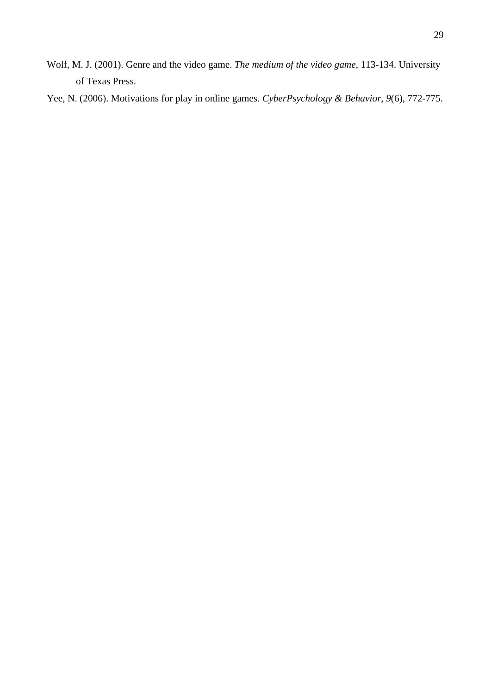Wolf, M. J. (2001). Genre and the video game. *The medium of the video game*, 113-134. University of Texas Press.

Yee, N. (2006). Motivations for play in online games. *CyberPsychology & Behavior, 9*(6), 772-775.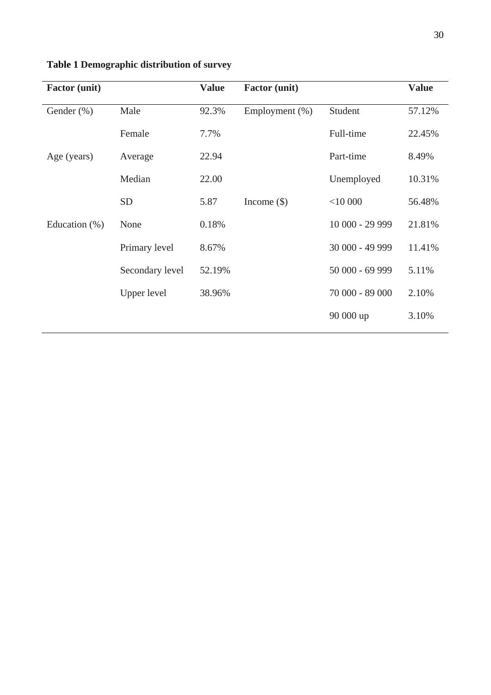| <b>Factor</b> (unit) |                 | <b>Value</b> | <b>Factor</b> (unit) |                 | <b>Value</b> |
|----------------------|-----------------|--------------|----------------------|-----------------|--------------|
| Gender $(\%)$        | Male            | 92.3%        | Employment $(\%)$    | Student         | 57.12%       |
|                      | Female          | 7.7%         |                      | Full-time       | 22.45%       |
| Age (years)          | Average         | 22.94        |                      | Part-time       | 8.49%        |
|                      | Median          | 22.00        |                      | Unemployed      | 10.31%       |
|                      | <b>SD</b>       | 5.87         | Income $(\$)$        | $<$ 10 000      | 56.48%       |
| Education $(\%)$     | None            | 0.18%        |                      | 10 000 - 29 999 | 21.81%       |
|                      | Primary level   | 8.67%        |                      | 30 000 - 49 999 | 11.41%       |
|                      | Secondary level | 52.19%       |                      | 50 000 - 69 999 | 5.11%        |
|                      | Upper level     | 38.96%       |                      | 70 000 - 89 000 | 2.10%        |
|                      |                 |              |                      | 90 000 up       | 3.10%        |

# **Table 1 Demographic distribution of survey**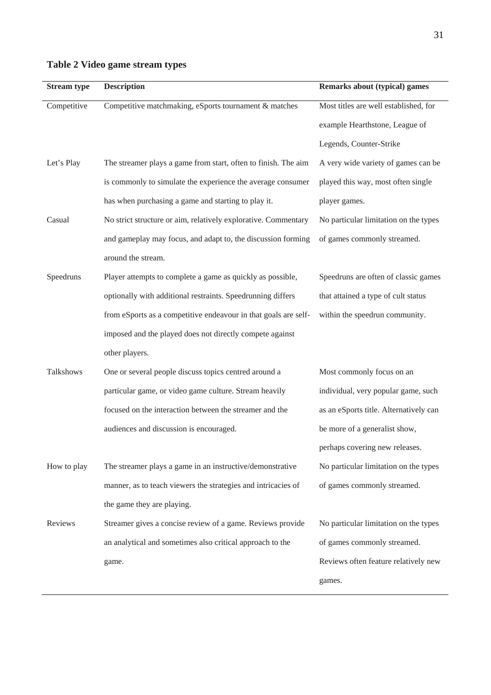| <b>Stream type</b> | <b>Description</b>                                              | <b>Remarks about (typical) games</b>   |
|--------------------|-----------------------------------------------------------------|----------------------------------------|
| Competitive        | Competitive matchmaking, eSports tournament & matches           | Most titles are well established, for  |
|                    |                                                                 | example Hearthstone, League of         |
|                    |                                                                 | Legends, Counter-Strike                |
| Let's Play         | The streamer plays a game from start, often to finish. The aim  | A very wide variety of games can be    |
|                    | is commonly to simulate the experience the average consumer     | played this way, most often single     |
|                    | has when purchasing a game and starting to play it.             | player games.                          |
| Casual             | No strict structure or aim, relatively explorative. Commentary  | No particular limitation on the types  |
|                    | and gameplay may focus, and adapt to, the discussion forming    | of games commonly streamed.            |
|                    | around the stream.                                              |                                        |
| Speedruns          | Player attempts to complete a game as quickly as possible,      | Speedruns are often of classic games   |
|                    | optionally with additional restraints. Speedrunning differs     | that attained a type of cult status    |
|                    | from eSports as a competitive endeavour in that goals are self- | within the speedrun community.         |
|                    | imposed and the played does not directly compete against        |                                        |
|                    | other players.                                                  |                                        |
| Talkshows          | One or several people discuss topics centred around a           | Most commonly focus on an              |
|                    | particular game, or video game culture. Stream heavily          | individual, very popular game, such    |
|                    | focused on the interaction between the streamer and the         | as an eSports title. Alternatively can |
|                    | audiences and discussion is encouraged.                         | be more of a generalist show,          |
|                    |                                                                 | perhaps covering new releases.         |
| How to play        | The streamer plays a game in an instructive/demonstrative       | No particular limitation on the types  |
|                    | manner, as to teach viewers the strategies and intricacies of   | of games commonly streamed.            |
|                    | the game they are playing.                                      |                                        |
| Reviews            | Streamer gives a concise review of a game. Reviews provide      | No particular limitation on the types  |
|                    | an analytical and sometimes also critical approach to the       | of games commonly streamed.            |
|                    | game.                                                           | Reviews often feature relatively new   |
|                    |                                                                 | games.                                 |

# **Table 2 Video game stream types**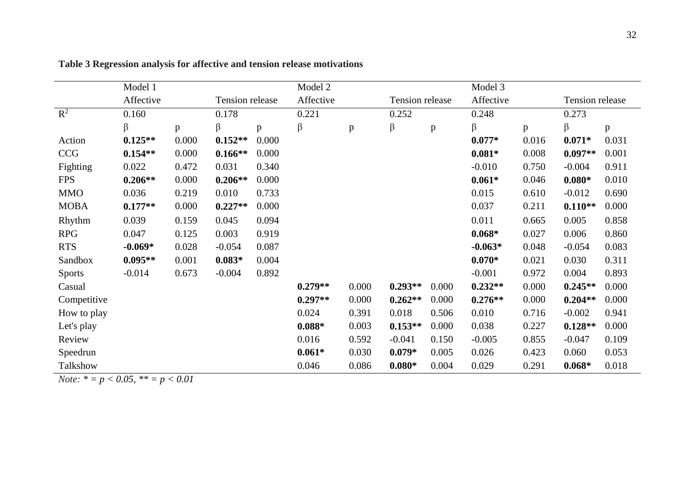|               | Model 1   |       |                 |              | Model 2   |              |                 |       | Model 3   |       |                 |       |  |
|---------------|-----------|-------|-----------------|--------------|-----------|--------------|-----------------|-------|-----------|-------|-----------------|-------|--|
|               | Affective |       | Tension release |              | Affective |              | Tension release |       | Affective |       | Tension release |       |  |
| $R^2$         | 0.160     |       | 0.178           |              | 0.221     |              | 0.252           |       | 0.248     |       | 0.273           |       |  |
|               | β         | p     | β               | $\mathbf{p}$ | β         | $\, {\bf p}$ | β               | p     | β         | p     | β               | p     |  |
| Action        | $0.125**$ | 0.000 | $0.152**$       | 0.000        |           |              |                 |       | $0.077*$  | 0.016 | $0.071*$        | 0.031 |  |
| <b>CCG</b>    | $0.154**$ | 0.000 | $0.166**$       | 0.000        |           |              |                 |       | $0.081*$  | 0.008 | $0.097**$       | 0.001 |  |
| Fighting      | 0.022     | 0.472 | 0.031           | 0.340        |           |              |                 |       | $-0.010$  | 0.750 | $-0.004$        | 0.911 |  |
| <b>FPS</b>    | $0.206**$ | 0.000 | $0.206**$       | 0.000        |           |              |                 |       | $0.061*$  | 0.046 | $0.080*$        | 0.010 |  |
| <b>MMO</b>    | 0.036     | 0.219 | 0.010           | 0.733        |           |              |                 |       | 0.015     | 0.610 | $-0.012$        | 0.690 |  |
| <b>MOBA</b>   | $0.177**$ | 0.000 | $0.227**$       | 0.000        |           |              |                 |       | 0.037     | 0.211 | $0.110**$       | 0.000 |  |
| Rhythm        | 0.039     | 0.159 | 0.045           | 0.094        |           |              |                 |       | 0.011     | 0.665 | 0.005           | 0.858 |  |
| <b>RPG</b>    | 0.047     | 0.125 | 0.003           | 0.919        |           |              |                 |       | $0.068*$  | 0.027 | 0.006           | 0.860 |  |
| <b>RTS</b>    | $-0.069*$ | 0.028 | $-0.054$        | 0.087        |           |              |                 |       | $-0.063*$ | 0.048 | $-0.054$        | 0.083 |  |
| Sandbox       | $0.095**$ | 0.001 | $0.083*$        | 0.004        |           |              |                 |       | $0.070*$  | 0.021 | 0.030           | 0.311 |  |
| <b>Sports</b> | $-0.014$  | 0.673 | $-0.004$        | 0.892        |           |              |                 |       | $-0.001$  | 0.972 | 0.004           | 0.893 |  |
| Casual        |           |       |                 |              | $0.279**$ | 0.000        | $0.293**$       | 0.000 | $0.232**$ | 0.000 | $0.245**$       | 0.000 |  |
| Competitive   |           |       |                 |              | $0.297**$ | 0.000        | $0.262**$       | 0.000 | $0.276**$ | 0.000 | $0.204**$       | 0.000 |  |
| How to play   |           |       |                 |              | 0.024     | 0.391        | 0.018           | 0.506 | 0.010     | 0.716 | $-0.002$        | 0.941 |  |
| Let's play    |           |       |                 |              | $0.088*$  | 0.003        | $0.153**$       | 0.000 | 0.038     | 0.227 | $0.128**$       | 0.000 |  |
| Review        |           |       |                 |              | 0.016     | 0.592        | $-0.041$        | 0.150 | $-0.005$  | 0.855 | $-0.047$        | 0.109 |  |
| Speedrun      |           |       |                 |              | $0.061*$  | 0.030        | $0.079*$        | 0.005 | 0.026     | 0.423 | 0.060           | 0.053 |  |
| Talkshow      |           |       |                 |              | 0.046     | 0.086        | $0.080*$        | 0.004 | 0.029     | 0.291 | $0.068*$        | 0.018 |  |

**Table 3 Regression analysis for affective and tension release motivations**

*Note: \* = p < 0.05, \*\* = p < 0.01*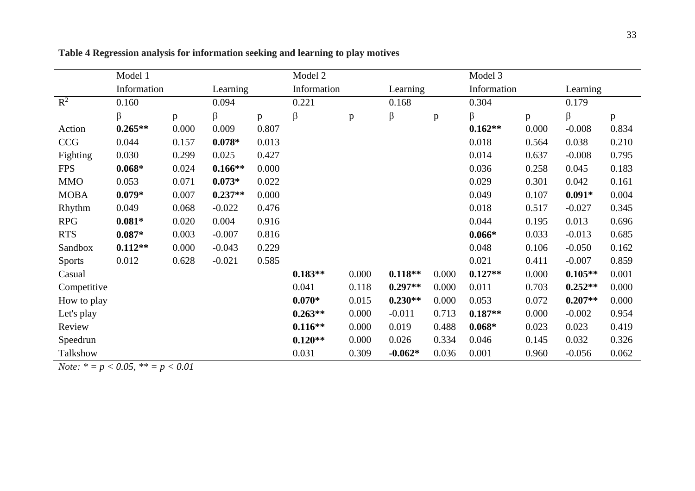|                | Model 1     |       |           |       | Model 2     |       |           |       | Model 3     |       |           |       |  |  |
|----------------|-------------|-------|-----------|-------|-------------|-------|-----------|-------|-------------|-------|-----------|-------|--|--|
|                | Information |       | Learning  |       | Information |       | Learning  |       | Information |       | Learning  |       |  |  |
| $\mathbb{R}^2$ | 0.160       |       | 0.094     |       | 0.221       |       | 0.168     |       | 0.304       |       | 0.179     |       |  |  |
|                | β           | p     | β         | p     | $\beta$     | p     | β         | p     | β           | p     | $\beta$   | p     |  |  |
| Action         | $0.265**$   | 0.000 | 0.009     | 0.807 |             |       |           |       | $0.162**$   | 0.000 | $-0.008$  | 0.834 |  |  |
| <b>CCG</b>     | 0.044       | 0.157 | $0.078*$  | 0.013 |             |       |           |       | 0.018       | 0.564 | 0.038     | 0.210 |  |  |
| Fighting       | 0.030       | 0.299 | 0.025     | 0.427 |             |       |           |       | 0.014       | 0.637 | $-0.008$  | 0.795 |  |  |
| <b>FPS</b>     | $0.068*$    | 0.024 | $0.166**$ | 0.000 |             |       |           |       | 0.036       | 0.258 | 0.045     | 0.183 |  |  |
| <b>MMO</b>     | 0.053       | 0.071 | $0.073*$  | 0.022 |             |       |           |       | 0.029       | 0.301 | 0.042     | 0.161 |  |  |
| <b>MOBA</b>    | $0.079*$    | 0.007 | $0.237**$ | 0.000 |             |       |           |       | 0.049       | 0.107 | $0.091*$  | 0.004 |  |  |
| Rhythm         | 0.049       | 0.068 | $-0.022$  | 0.476 |             |       |           |       | 0.018       | 0.517 | $-0.027$  | 0.345 |  |  |
| <b>RPG</b>     | $0.081*$    | 0.020 | 0.004     | 0.916 |             |       |           |       | 0.044       | 0.195 | 0.013     | 0.696 |  |  |
| <b>RTS</b>     | $0.087*$    | 0.003 | $-0.007$  | 0.816 |             |       |           |       | $0.066*$    | 0.033 | $-0.013$  | 0.685 |  |  |
| Sandbox        | $0.112**$   | 0.000 | $-0.043$  | 0.229 |             |       |           |       | 0.048       | 0.106 | $-0.050$  | 0.162 |  |  |
| <b>Sports</b>  | 0.012       | 0.628 | $-0.021$  | 0.585 |             |       |           |       | 0.021       | 0.411 | $-0.007$  | 0.859 |  |  |
| Casual         |             |       |           |       | $0.183**$   | 0.000 | $0.118**$ | 0.000 | $0.127**$   | 0.000 | $0.105**$ | 0.001 |  |  |
| Competitive    |             |       |           |       | 0.041       | 0.118 | $0.297**$ | 0.000 | 0.011       | 0.703 | $0.252**$ | 0.000 |  |  |
| How to play    |             |       |           |       | $0.070*$    | 0.015 | $0.230**$ | 0.000 | 0.053       | 0.072 | $0.207**$ | 0.000 |  |  |
| Let's play     |             |       |           |       | $0.263**$   | 0.000 | $-0.011$  | 0.713 | $0.187**$   | 0.000 | $-0.002$  | 0.954 |  |  |
| Review         |             |       |           |       | $0.116**$   | 0.000 | 0.019     | 0.488 | $0.068*$    | 0.023 | 0.023     | 0.419 |  |  |
| Speedrun       |             |       |           |       | $0.120**$   | 0.000 | 0.026     | 0.334 | 0.046       | 0.145 | 0.032     | 0.326 |  |  |
| Talkshow       |             |       |           |       | 0.031       | 0.309 | $-0.062*$ | 0.036 | 0.001       | 0.960 | $-0.056$  | 0.062 |  |  |

**Table 4 Regression analysis for information seeking and learning to play motives**

*Note: \* = p < 0.05, \*\* = p < 0.01*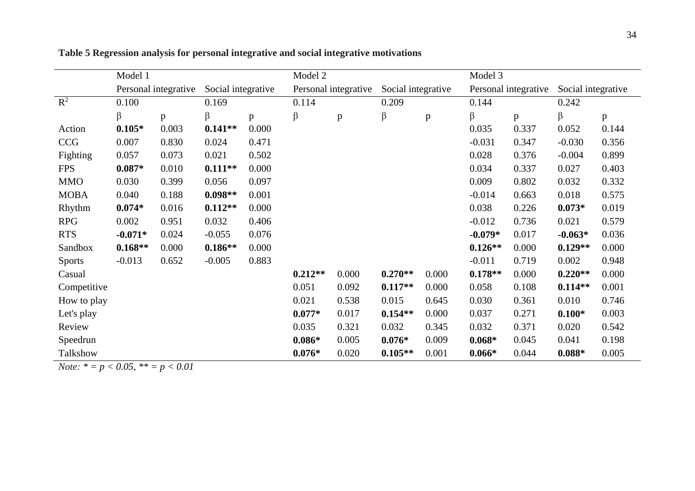|               | Model 1              |       |                    |       | Model 2   |                      |                    |       | Model 3   |                      |                    |       |  |  |  |  |
|---------------|----------------------|-------|--------------------|-------|-----------|----------------------|--------------------|-------|-----------|----------------------|--------------------|-------|--|--|--|--|
|               | Personal integrative |       | Social integrative |       |           | Personal integrative | Social integrative |       |           | Personal integrative | Social integrative |       |  |  |  |  |
| $R^2$         | 0.100                |       | 0.169              |       | 0.114     |                      | 0.209              |       | 0.144     |                      | 0.242              |       |  |  |  |  |
|               | β                    | p     | β                  | p     | $\beta$   | p                    | $\beta$            | p     | β         | p                    | β                  | p     |  |  |  |  |
| Action        | $0.105*$             | 0.003 | $0.141**$          | 0.000 |           |                      |                    |       | 0.035     | 0.337                | 0.052              | 0.144 |  |  |  |  |
| <b>CCG</b>    | 0.007                | 0.830 | 0.024              | 0.471 |           |                      |                    |       | $-0.031$  | 0.347                | $-0.030$           | 0.356 |  |  |  |  |
| Fighting      | 0.057                | 0.073 | 0.021              | 0.502 |           |                      |                    |       | 0.028     | 0.376                | $-0.004$           | 0.899 |  |  |  |  |
| <b>FPS</b>    | $0.087*$             | 0.010 | $0.111**$          | 0.000 |           |                      |                    |       | 0.034     | 0.337                | 0.027              | 0.403 |  |  |  |  |
| <b>MMO</b>    | 0.030                | 0.399 | 0.056              | 0.097 |           |                      |                    |       | 0.009     | 0.802                | 0.032              | 0.332 |  |  |  |  |
| <b>MOBA</b>   | 0.040                | 0.188 | $0.098**$<br>0.001 |       |           |                      |                    |       | $-0.014$  | 0.663                | 0.018              | 0.575 |  |  |  |  |
| Rhythm        | $0.074*$             | 0.016 | $0.112**$          | 0.000 |           |                      |                    |       | 0.038     | 0.226                | $0.073*$           | 0.019 |  |  |  |  |
| <b>RPG</b>    | 0.002                | 0.951 | 0.032              | 0.406 |           |                      |                    |       | $-0.012$  | 0.736                | 0.021              | 0.579 |  |  |  |  |
| <b>RTS</b>    | $-0.071*$            | 0.024 | $-0.055$           | 0.076 |           |                      |                    |       | $-0.079*$ | 0.017                | $-0.063*$          | 0.036 |  |  |  |  |
| Sandbox       | $0.168**$            | 0.000 | $0.186**$          | 0.000 |           |                      |                    |       | $0.126**$ | 0.000                | $0.129**$          | 0.000 |  |  |  |  |
| <b>Sports</b> | $-0.013$             | 0.652 | $-0.005$           | 0.883 |           |                      |                    |       | $-0.011$  | 0.719                | 0.002              | 0.948 |  |  |  |  |
| Casual        |                      |       |                    |       | $0.212**$ | 0.000                | $0.270**$          | 0.000 | $0.178**$ | 0.000                | $0.220**$          | 0.000 |  |  |  |  |
| Competitive   |                      |       |                    |       | 0.051     | 0.092                | $0.117**$          | 0.000 | 0.058     | 0.108                | $0.114**$          | 0.001 |  |  |  |  |
| How to play   |                      |       |                    |       | 0.021     | 0.538                | 0.015              | 0.645 | 0.030     | 0.361                | 0.010              | 0.746 |  |  |  |  |
| Let's play    |                      |       |                    |       | $0.077*$  | 0.017                | $0.154**$          | 0.000 | 0.037     | 0.271                | $0.100*$           | 0.003 |  |  |  |  |
| Review        |                      |       |                    |       | 0.035     | 0.321                | 0.032              | 0.345 | 0.032     | 0.371                | 0.020              | 0.542 |  |  |  |  |
| Speedrun      |                      |       |                    |       | $0.086*$  | 0.005                | $0.076*$           | 0.009 | $0.068*$  | 0.045                | 0.041              | 0.198 |  |  |  |  |
| Talkshow      |                      |       |                    |       | $0.076*$  | 0.020                | $0.105**$          | 0.001 | $0.066*$  | 0.044                | $0.088*$           | 0.005 |  |  |  |  |

**Table 5 Regression analysis for personal integrative and social integrative motivations**

*Note: \* = p < 0.05, \*\* = p < 0.01*